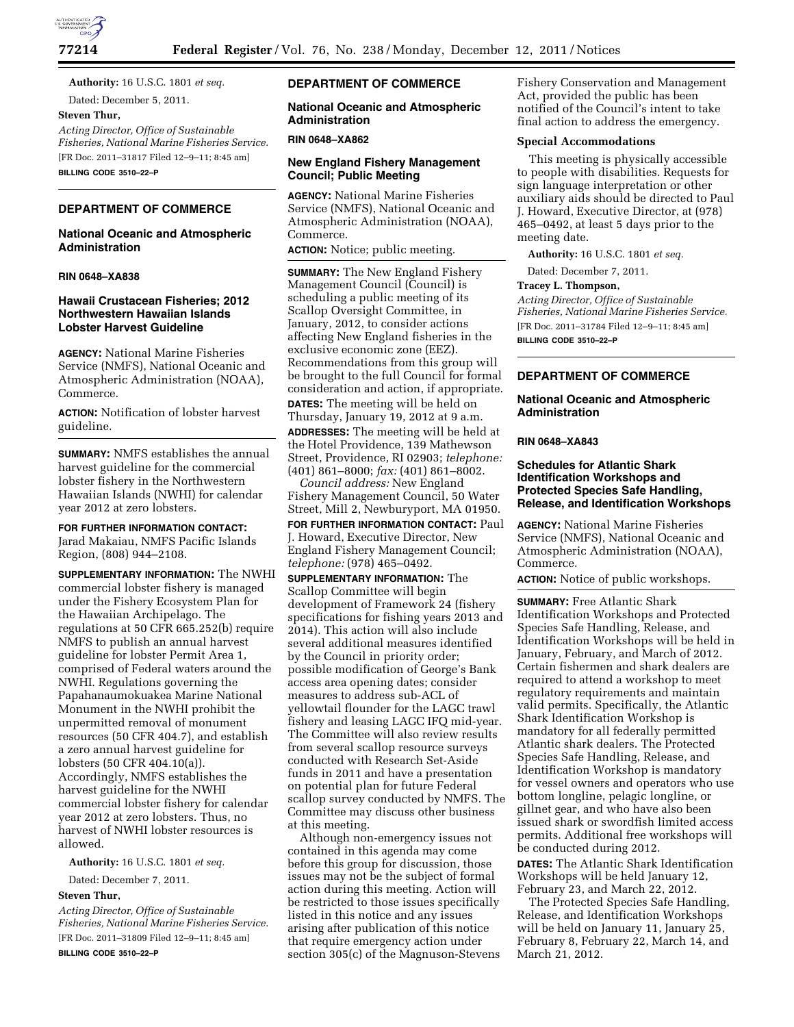

**Authority:** 16 U.S.C. 1801 *et seq.*  Dated: December 5, 2011.

### **Steven Thur,**

*Acting Director, Office of Sustainable Fisheries, National Marine Fisheries Service.*  [FR Doc. 2011–31817 Filed 12–9–11; 8:45 am]

**BILLING CODE 3510–22–P** 

# **DEPARTMENT OF COMMERCE**

# **National Oceanic and Atmospheric Administration**

#### **RIN 0648–XA838**

## **Hawaii Crustacean Fisheries; 2012 Northwestern Hawaiian Islands Lobster Harvest Guideline**

**AGENCY:** National Marine Fisheries Service (NMFS), National Oceanic and Atmospheric Administration (NOAA), Commerce.

**ACTION:** Notification of lobster harvest guideline.

**SUMMARY:** NMFS establishes the annual harvest guideline for the commercial lobster fishery in the Northwestern Hawaiian Islands (NWHI) for calendar year 2012 at zero lobsters.

**FOR FURTHER INFORMATION CONTACT:** 

Jarad Makaiau, NMFS Pacific Islands Region, (808) 944–2108.

**SUPPLEMENTARY INFORMATION:** The NWHI commercial lobster fishery is managed under the Fishery Ecosystem Plan for the Hawaiian Archipelago. The regulations at 50 CFR 665.252(b) require NMFS to publish an annual harvest guideline for lobster Permit Area 1, comprised of Federal waters around the NWHI. Regulations governing the Papahanaumokuakea Marine National Monument in the NWHI prohibit the unpermitted removal of monument resources (50 CFR 404.7), and establish a zero annual harvest guideline for lobsters (50 CFR 404.10(a)). Accordingly, NMFS establishes the harvest guideline for the NWHI commercial lobster fishery for calendar year 2012 at zero lobsters. Thus, no harvest of NWHI lobster resources is allowed.

**Authority:** 16 U.S.C. 1801 *et seq.* 

Dated: December 7, 2011.

### **Steven Thur,**

*Acting Director, Office of Sustainable Fisheries, National Marine Fisheries Service.*  [FR Doc. 2011–31809 Filed 12–9–11; 8:45 am] **BILLING CODE 3510–22–P** 

## **DEPARTMENT OF COMMERCE**

# **National Oceanic and Atmospheric Administration**

#### **RIN 0648–XA862**

# **New England Fishery Management Council; Public Meeting**

**AGENCY:** National Marine Fisheries Service (NMFS), National Oceanic and Atmospheric Administration (NOAA), Commerce.

**ACTION:** Notice; public meeting.

**SUMMARY:** The New England Fishery Management Council (Council) is scheduling a public meeting of its Scallop Oversight Committee, in January, 2012, to consider actions affecting New England fisheries in the exclusive economic zone (EEZ). Recommendations from this group will be brought to the full Council for formal consideration and action, if appropriate. **DATES:** The meeting will be held on Thursday, January 19, 2012 at 9 a.m. **ADDRESSES:** The meeting will be held at the Hotel Providence, 139 Mathewson Street, Providence, RI 02903; *telephone:*  (401) 861–8000; *fax:* (401) 861–8002.

*Council address:* New England Fishery Management Council, 50 Water Street, Mill 2, Newburyport, MA 01950.

**FOR FURTHER INFORMATION CONTACT: Paul** J. Howard, Executive Director, New England Fishery Management Council; *telephone:* (978) 465–0492.

**SUPPLEMENTARY INFORMATION:** The Scallop Committee will begin development of Framework 24 (fishery specifications for fishing years 2013 and 2014). This action will also include several additional measures identified by the Council in priority order; possible modification of George's Bank access area opening dates; consider measures to address sub-ACL of yellowtail flounder for the LAGC trawl fishery and leasing LAGC IFQ mid-year. The Committee will also review results from several scallop resource surveys conducted with Research Set-Aside funds in 2011 and have a presentation on potential plan for future Federal scallop survey conducted by NMFS. The Committee may discuss other business at this meeting.

Although non-emergency issues not contained in this agenda may come before this group for discussion, those issues may not be the subject of formal action during this meeting. Action will be restricted to those issues specifically listed in this notice and any issues arising after publication of this notice that require emergency action under section 305(c) of the Magnuson-Stevens Fishery Conservation and Management Act, provided the public has been notified of the Council's intent to take final action to address the emergency.

# **Special Accommodations**

This meeting is physically accessible to people with disabilities. Requests for sign language interpretation or other auxiliary aids should be directed to Paul J. Howard, Executive Director, at (978) 465–0492, at least 5 days prior to the meeting date.

**Authority:** 16 U.S.C. 1801 *et seq.* 

Dated: December 7, 2011.

#### **Tracey L. Thompson,**

*Acting Director, Office of Sustainable Fisheries, National Marine Fisheries Service.*  [FR Doc. 2011–31784 Filed 12–9–11; 8:45 am] **BILLING CODE 3510–22–P** 

## **DEPARTMENT OF COMMERCE**

### **National Oceanic and Atmospheric Administration**

### **RIN 0648–XA843**

### **Schedules for Atlantic Shark Identification Workshops and Protected Species Safe Handling, Release, and Identification Workshops**

**AGENCY:** National Marine Fisheries Service (NMFS), National Oceanic and Atmospheric Administration (NOAA), Commerce.

**ACTION:** Notice of public workshops.

**SUMMARY:** Free Atlantic Shark Identification Workshops and Protected Species Safe Handling, Release, and Identification Workshops will be held in January, February, and March of 2012. Certain fishermen and shark dealers are required to attend a workshop to meet regulatory requirements and maintain valid permits. Specifically, the Atlantic Shark Identification Workshop is mandatory for all federally permitted Atlantic shark dealers. The Protected Species Safe Handling, Release, and Identification Workshop is mandatory for vessel owners and operators who use bottom longline, pelagic longline, or gillnet gear, and who have also been issued shark or swordfish limited access permits. Additional free workshops will be conducted during 2012.

**DATES:** The Atlantic Shark Identification Workshops will be held January 12, February 23, and March 22, 2012.

The Protected Species Safe Handling, Release, and Identification Workshops will be held on January 11, January 25, February 8, February 22, March 14, and March 21, 2012.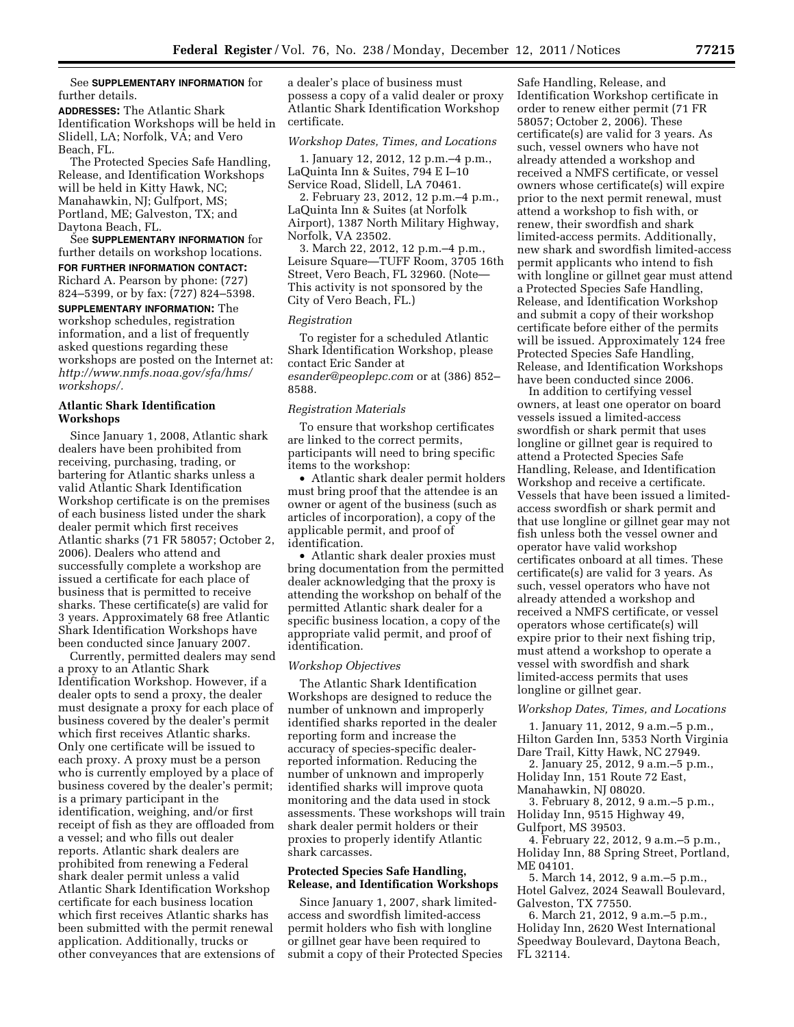## See **SUPPLEMENTARY INFORMATION** for further details.

**ADDRESSES:** The Atlantic Shark Identification Workshops will be held in Slidell, LA; Norfolk, VA; and Vero Beach, FL.

The Protected Species Safe Handling, Release, and Identification Workshops will be held in Kitty Hawk, NC; Manahawkin, NJ; Gulfport, MS; Portland, ME; Galveston, TX; and Daytona Beach, FL.

See **SUPPLEMENTARY INFORMATION** for further details on workshop locations.

**FOR FURTHER INFORMATION CONTACT:**  Richard A. Pearson by phone: (727) 824–5399, or by fax: (727) 824–5398.

**SUPPLEMENTARY INFORMATION:** The workshop schedules, registration information, and a list of frequently asked questions regarding these workshops are posted on the Internet at: *http://www.nmfs.noaa.gov/sfa/hms/ workshops/.* 

## **Atlantic Shark Identification Workshops**

Since January 1, 2008, Atlantic shark dealers have been prohibited from receiving, purchasing, trading, or bartering for Atlantic sharks unless a valid Atlantic Shark Identification Workshop certificate is on the premises of each business listed under the shark dealer permit which first receives Atlantic sharks (71 FR 58057; October 2, 2006). Dealers who attend and successfully complete a workshop are issued a certificate for each place of business that is permitted to receive sharks. These certificate(s) are valid for 3 years. Approximately 68 free Atlantic Shark Identification Workshops have been conducted since January 2007.

Currently, permitted dealers may send a proxy to an Atlantic Shark Identification Workshop. However, if a dealer opts to send a proxy, the dealer must designate a proxy for each place of business covered by the dealer's permit which first receives Atlantic sharks. Only one certificate will be issued to each proxy. A proxy must be a person who is currently employed by a place of business covered by the dealer's permit; is a primary participant in the identification, weighing, and/or first receipt of fish as they are offloaded from a vessel; and who fills out dealer reports. Atlantic shark dealers are prohibited from renewing a Federal shark dealer permit unless a valid Atlantic Shark Identification Workshop certificate for each business location which first receives Atlantic sharks has been submitted with the permit renewal application. Additionally, trucks or other conveyances that are extensions of

a dealer's place of business must possess a copy of a valid dealer or proxy Atlantic Shark Identification Workshop certificate.

#### *Workshop Dates, Times, and Locations*

1. January 12, 2012, 12 p.m.–4 p.m., LaQuinta Inn & Suites, 794 E I–10 Service Road, Slidell, LA 70461.

2. February 23, 2012, 12 p.m.–4 p.m., LaQuinta Inn & Suites (at Norfolk Airport), 1387 North Military Highway, Norfolk, VA 23502.

3. March 22, 2012, 12 p.m.–4 p.m., Leisure Square—TUFF Room, 3705 16th Street, Vero Beach, FL 32960. (Note— This activity is not sponsored by the City of Vero Beach, FL.)

#### *Registration*

To register for a scheduled Atlantic Shark Identification Workshop, please contact Eric Sander at *esander@peoplepc.com* or at (386) 852– 8588.

#### *Registration Materials*

To ensure that workshop certificates are linked to the correct permits, participants will need to bring specific items to the workshop:

• Atlantic shark dealer permit holders must bring proof that the attendee is an owner or agent of the business (such as articles of incorporation), a copy of the applicable permit, and proof of identification.

• Atlantic shark dealer proxies must bring documentation from the permitted dealer acknowledging that the proxy is attending the workshop on behalf of the permitted Atlantic shark dealer for a specific business location, a copy of the appropriate valid permit, and proof of identification.

#### *Workshop Objectives*

The Atlantic Shark Identification Workshops are designed to reduce the number of unknown and improperly identified sharks reported in the dealer reporting form and increase the accuracy of species-specific dealerreported information. Reducing the number of unknown and improperly identified sharks will improve quota monitoring and the data used in stock assessments. These workshops will train shark dealer permit holders or their proxies to properly identify Atlantic shark carcasses.

#### **Protected Species Safe Handling, Release, and Identification Workshops**

Since January 1, 2007, shark limitedaccess and swordfish limited-access permit holders who fish with longline or gillnet gear have been required to submit a copy of their Protected Species

Safe Handling, Release, and Identification Workshop certificate in order to renew either permit (71 FR 58057; October 2, 2006). These certificate(s) are valid for 3 years. As such, vessel owners who have not already attended a workshop and received a NMFS certificate, or vessel owners whose certificate(s) will expire prior to the next permit renewal, must attend a workshop to fish with, or renew, their swordfish and shark limited-access permits. Additionally, new shark and swordfish limited-access permit applicants who intend to fish with longline or gillnet gear must attend a Protected Species Safe Handling, Release, and Identification Workshop and submit a copy of their workshop certificate before either of the permits will be issued. Approximately 124 free Protected Species Safe Handling, Release, and Identification Workshops have been conducted since 2006.

In addition to certifying vessel owners, at least one operator on board vessels issued a limited-access swordfish or shark permit that uses longline or gillnet gear is required to attend a Protected Species Safe Handling, Release, and Identification Workshop and receive a certificate. Vessels that have been issued a limitedaccess swordfish or shark permit and that use longline or gillnet gear may not fish unless both the vessel owner and operator have valid workshop certificates onboard at all times. These certificate(s) are valid for 3 years. As such, vessel operators who have not already attended a workshop and received a NMFS certificate, or vessel operators whose certificate(s) will expire prior to their next fishing trip, must attend a workshop to operate a vessel with swordfish and shark limited-access permits that uses longline or gillnet gear.

#### *Workshop Dates, Times, and Locations*

1. January 11, 2012, 9 a.m.–5 p.m., Hilton Garden Inn, 5353 North Virginia Dare Trail, Kitty Hawk, NC 27949.

- 2. January 25, 2012, 9 a.m.–5 p.m., Holiday Inn, 151 Route 72 East,
- Manahawkin, NJ 08020.
- 3. February 8, 2012, 9 a.m.–5 p.m.,
- Holiday Inn, 9515 Highway 49,
- Gulfport, MS 39503.

4. February 22, 2012, 9 a.m.–5 p.m., Holiday Inn, 88 Spring Street, Portland, ME 04101.

5. March 14, 2012, 9 a.m.–5 p.m., Hotel Galvez, 2024 Seawall Boulevard, Galveston, TX 77550.

6. March 21, 2012, 9 a.m.–5 p.m., Holiday Inn, 2620 West International Speedway Boulevard, Daytona Beach, FL 32114.